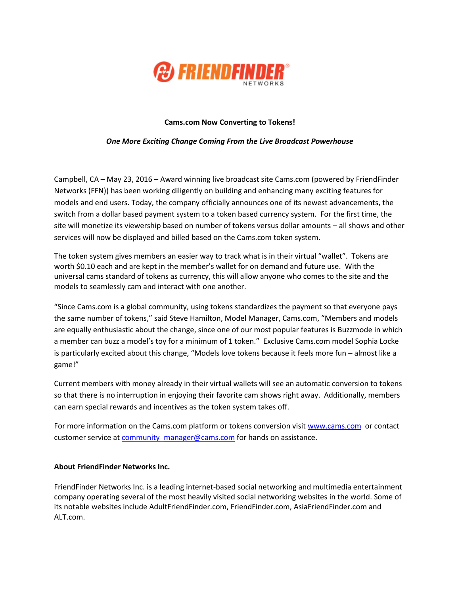

## **Cams.com Now Converting to Tokens!**

## *One More Exciting Change Coming From the Live Broadcast Powerhouse*

Campbell, CA – May 23, 2016 – Award winning live broadcast site Cams.com (powered by FriendFinder Networks (FFN)) has been working diligently on building and enhancing many exciting features for models and end users. Today, the company officially announces one of its newest advancements, the switch from a dollar based payment system to a token based currency system. For the first time, the site will monetize its viewership based on number of tokens versus dollar amounts – all shows and other services will now be displayed and billed based on the Cams.com token system.

The token system gives members an easier way to track what is in their virtual "wallet". Tokens are worth \$0.10 each and are kept in the member's wallet for on demand and future use. With the universal cams standard of tokens as currency, this will allow anyone who comes to the site and the models to seamlessly cam and interact with one another.

"Since Cams.com is a global community, using tokens standardizes the payment so that everyone pays the same number of tokens," said Steve Hamilton, Model Manager, Cams.com, "Members and models are equally enthusiastic about the change, since one of our most popular features is Buzzmode in which a member can buzz a model's toy for a minimum of 1 token." Exclusive Cams.com model Sophia Locke is particularly excited about this change, "Models love tokens because it feels more fun – almost like a game!"

Current members with money already in their virtual wallets will see an automatic conversion to tokens so that there is no interruption in enjoying their favorite cam shows right away. Additionally, members can earn special rewards and incentives as the token system takes off.

For more information on the Cams.com platform or tokens conversion visi[t www.cams.com](http://www.cams.com/) or contact customer service at community manager@cams.com for hands on assistance.

## **About FriendFinder Networks Inc.**

FriendFinder Networks Inc. is a leading internet-based social networking and multimedia entertainment company operating several of the most heavily visited social networking websites in the world. Some of its notable websites include AdultFriendFinder.com, FriendFinder.com, AsiaFriendFinder.com and ALT.com.